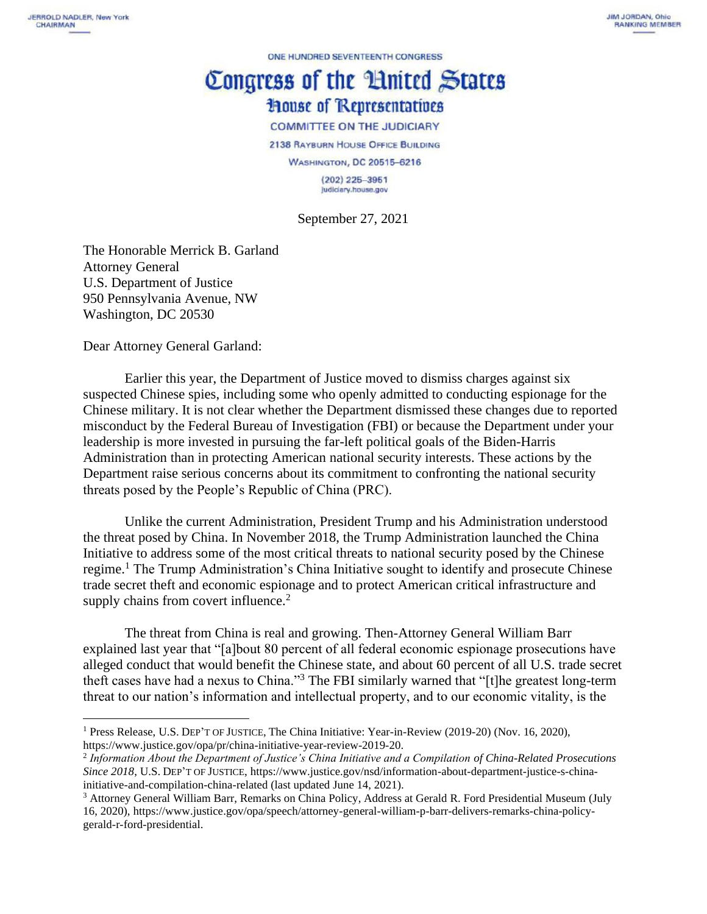ONE HUNDRED SEVENTEENTH CONGRESS

## Congress of the Huited States **House of Representatives**

**COMMITTEE ON THE JUDICIARY** 

2138 RAYBURN HOUSE OFFICE BUILDING

**WASHINGTON, DC 20515-6216** 

 $(202)$  225-3951 Judiciary.house.gov

September 27, 2021

The Honorable Merrick B. Garland Attorney General U.S. Department of Justice 950 Pennsylvania Avenue, NW Washington, DC 20530

Dear Attorney General Garland:

Earlier this year, the Department of Justice moved to dismiss charges against six suspected Chinese spies, including some who openly admitted to conducting espionage for the Chinese military. It is not clear whether the Department dismissed these changes due to reported misconduct by the Federal Bureau of Investigation (FBI) or because the Department under your leadership is more invested in pursuing the far-left political goals of the Biden-Harris Administration than in protecting American national security interests. These actions by the Department raise serious concerns about its commitment to confronting the national security threats posed by the People's Republic of China (PRC).

Unlike the current Administration, President Trump and his Administration understood the threat posed by China. In November 2018, the Trump Administration launched the China Initiative to address some of the most critical threats to national security posed by the Chinese regime.<sup>1</sup> The Trump Administration's China Initiative sought to identify and prosecute Chinese trade secret theft and economic espionage and to protect American critical infrastructure and supply chains from covert influence.<sup>2</sup>

The threat from China is real and growing. Then-Attorney General William Barr explained last year that "[a]bout 80 percent of all federal economic espionage prosecutions have alleged conduct that would benefit the Chinese state, and about 60 percent of all U.S. trade secret theft cases have had a nexus to China."<sup>3</sup> The FBI similarly warned that "[t]he greatest long-term threat to our nation's information and intellectual property, and to our economic vitality, is the

<sup>1</sup> Press Release, U.S. DEP'T OF JUSTICE, The China Initiative: Year-in-Review (2019-20) (Nov. 16, 2020), https://www.justice.gov/opa/pr/china-initiative-year-review-2019-20.

<sup>2</sup> *Information About the Department of Justice's China Initiative and a Compilation of China-Related Prosecutions Since 2018*, U.S. DEP'T OF JUSTICE, https://www.justice.gov/nsd/information-about-department-justice-s-chinainitiative-and-compilation-china-related (last updated June 14, 2021).

<sup>3</sup> Attorney General William Barr, Remarks on China Policy, Address at Gerald R. Ford Presidential Museum (July 16, 2020), https://www.justice.gov/opa/speech/attorney-general-william-p-barr-delivers-remarks-china-policygerald-r-ford-presidential.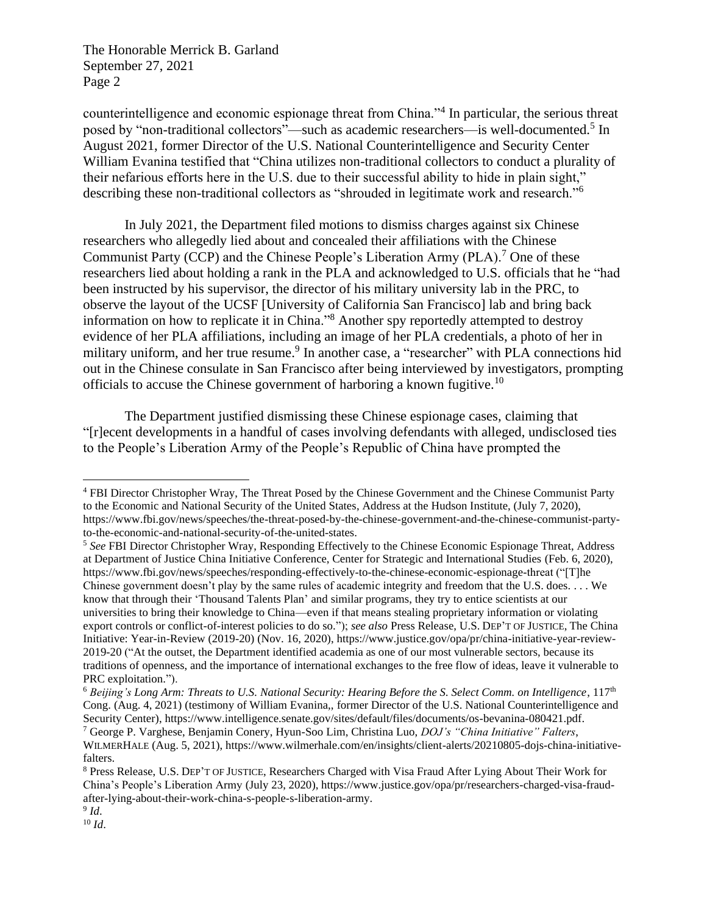The Honorable Merrick B. Garland September 27, 2021 Page 2

counterintelligence and economic espionage threat from China."<sup>4</sup> In particular, the serious threat posed by "non-traditional collectors"—such as academic researchers—is well-documented.<sup>5</sup> In August 2021, former Director of the U.S. National Counterintelligence and Security Center William Evanina testified that "China utilizes non-traditional collectors to conduct a plurality of their nefarious efforts here in the U.S. due to their successful ability to hide in plain sight," describing these non-traditional collectors as "shrouded in legitimate work and research."<sup>6</sup>

In July 2021, the Department filed motions to dismiss charges against six Chinese researchers who allegedly lied about and concealed their affiliations with the Chinese Communist Party (CCP) and the Chinese People's Liberation Army (PLA).<sup>7</sup> One of these researchers lied about holding a rank in the PLA and acknowledged to U.S. officials that he "had been instructed by his supervisor, the director of his military university lab in the PRC, to observe the layout of the UCSF [University of California San Francisco] lab and bring back information on how to replicate it in China."<sup>8</sup> Another spy reportedly attempted to destroy evidence of her PLA affiliations, including an image of her PLA credentials, a photo of her in military uniform, and her true resume.<sup>9</sup> In another case, a "researcher" with PLA connections hid out in the Chinese consulate in San Francisco after being interviewed by investigators, prompting officials to accuse the Chinese government of harboring a known fugitive.<sup>10</sup>

The Department justified dismissing these Chinese espionage cases, claiming that "[r]ecent developments in a handful of cases involving defendants with alleged, undisclosed ties to the People's Liberation Army of the People's Republic of China have prompted the

<sup>4</sup> FBI Director Christopher Wray, The Threat Posed by the Chinese Government and the Chinese Communist Party to the Economic and National Security of the United States, Address at the Hudson Institute, (July 7, 2020), https://www.fbi.gov/news/speeches/the-threat-posed-by-the-chinese-government-and-the-chinese-communist-partyto-the-economic-and-national-security-of-the-united-states.

<sup>5</sup> *See* FBI Director Christopher Wray, Responding Effectively to the Chinese Economic Espionage Threat, Address at Department of Justice China Initiative Conference, Center for Strategic and International Studies (Feb. 6, 2020), https://www.fbi.gov/news/speeches/responding-effectively-to-the-chinese-economic-espionage-threat ("[T]he Chinese government doesn't play by the same rules of academic integrity and freedom that the U.S. does. . . . We know that through their 'Thousand Talents Plan' and similar programs, they try to entice scientists at our universities to bring their knowledge to China—even if that means stealing proprietary information or violating export controls or conflict-of-interest policies to do so."); *see also* Press Release, U.S. DEP'T OF JUSTICE, The China Initiative: Year-in-Review (2019-20) (Nov. 16, 2020), https://www.justice.gov/opa/pr/china-initiative-year-review-2019-20 ("At the outset, the Department identified academia as one of our most vulnerable sectors, because its traditions of openness, and the importance of international exchanges to the free flow of ideas, leave it vulnerable to PRC exploitation.").

<sup>6</sup> *Beijing's Long Arm: Threats to U.S. National Security: Hearing Before the S. Select Comm. on Intelligence*, 117th Cong. (Aug. 4, 2021) (testimony of William Evanina,, former Director of the U.S. National Counterintelligence and Security Center), https://www.intelligence.senate.gov/sites/default/files/documents/os-bevanina-080421.pdf. <sup>7</sup> George P. Varghese, Benjamin Conery, Hyun-Soo Lim, Christina Luo, *DOJ's "China Initiative" Falters*,

WILMERHALE (Aug. 5, 2021), https://www.wilmerhale.com/en/insights/client-alerts/20210805-dojs-china-initiativefalters.

<sup>8</sup> Press Release, U.S. DEP'T OF JUSTICE, Researchers Charged with Visa Fraud After Lying About Their Work for China's People's Liberation Army (July 23, 2020), https://www.justice.gov/opa/pr/researchers-charged-visa-fraudafter-lying-about-their-work-china-s-people-s-liberation-army.

<sup>9</sup> *Id*. <sup>10</sup> *Id*.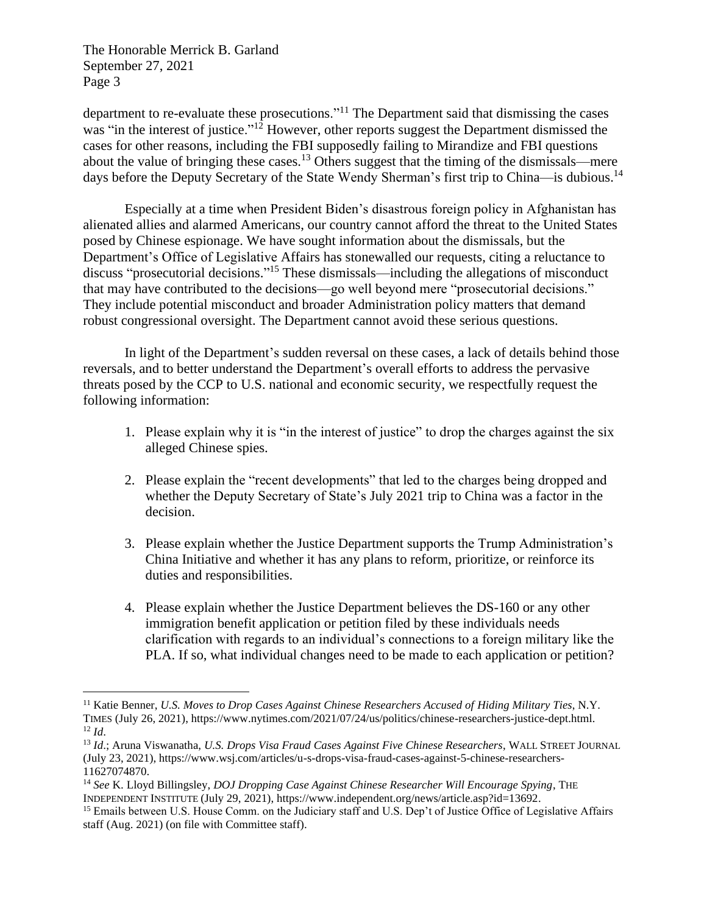The Honorable Merrick B. Garland September 27, 2021 Page 3

department to re-evaluate these prosecutions."<sup>11</sup> The Department said that dismissing the cases was "in the interest of justice."<sup>12</sup> However, other reports suggest the Department dismissed the cases for other reasons, including the FBI supposedly failing to Mirandize and FBI questions about the value of bringing these cases.<sup>13</sup> Others suggest that the timing of the dismissals—mere days before the Deputy Secretary of the State Wendy Sherman's first trip to China—is dubious.<sup>14</sup>

Especially at a time when President Biden's disastrous foreign policy in Afghanistan has alienated allies and alarmed Americans, our country cannot afford the threat to the United States posed by Chinese espionage. We have sought information about the dismissals, but the Department's Office of Legislative Affairs has stonewalled our requests, citing a reluctance to discuss "prosecutorial decisions."<sup>15</sup> These dismissals—including the allegations of misconduct that may have contributed to the decisions—go well beyond mere "prosecutorial decisions." They include potential misconduct and broader Administration policy matters that demand robust congressional oversight. The Department cannot avoid these serious questions.

In light of the Department's sudden reversal on these cases, a lack of details behind those reversals, and to better understand the Department's overall efforts to address the pervasive threats posed by the CCP to U.S. national and economic security, we respectfully request the following information:

- 1. Please explain why it is "in the interest of justice" to drop the charges against the six alleged Chinese spies.
- 2. Please explain the "recent developments" that led to the charges being dropped and whether the Deputy Secretary of State's July 2021 trip to China was a factor in the decision.
- 3. Please explain whether the Justice Department supports the Trump Administration's China Initiative and whether it has any plans to reform, prioritize, or reinforce its duties and responsibilities.
- 4. Please explain whether the Justice Department believes the DS-160 or any other immigration benefit application or petition filed by these individuals needs clarification with regards to an individual's connections to a foreign military like the PLA. If so, what individual changes need to be made to each application or petition?

<sup>11</sup> Katie Benner, *U.S. Moves to Drop Cases Against Chinese Researchers Accused of Hiding Military Ties*, N.Y. TIMES (July 26, 2021), https://www.nytimes.com/2021/07/24/us/politics/chinese-researchers-justice-dept.html. <sup>12</sup> *Id*.

<sup>13</sup> *Id*.; Aruna Viswanatha, *U.S. Drops Visa Fraud Cases Against Five Chinese Researchers*, WALL STREET JOURNAL (July 23, 2021), https://www.wsj.com/articles/u-s-drops-visa-fraud-cases-against-5-chinese-researchers-11627074870.

<sup>14</sup> *See* K. Lloyd Billingsley, *DOJ Dropping Case Against Chinese Researcher Will Encourage Spying*, THE INDEPENDENT INSTITUTE (July 29, 2021), https://www.independent.org/news/article.asp?id=13692.

<sup>&</sup>lt;sup>15</sup> Emails between U.S. House Comm. on the Judiciary staff and U.S. Dep't of Justice Office of Legislative Affairs staff (Aug. 2021) (on file with Committee staff).